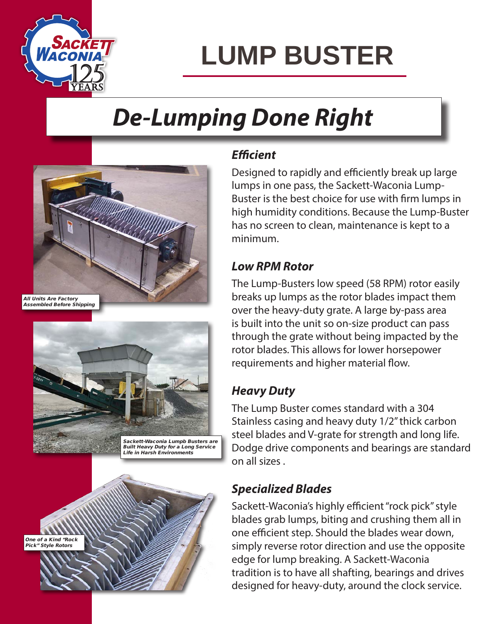

# **LUMP BUSTER**

### *De-Lumping Done Right*



All Units Are Factory Assembled Before Shipping





#### *Efficient*

Designed to rapidly and efficiently break up large lumps in one pass, the Sackett-Waconia Lump-Buster is the best choice for use with firm lumps in high humidity conditions. Because the Lump-Buster has no screen to clean, maintenance is kept to a minimum.

#### *Low RPM Rotor*

The Lump-Busters low speed (58 RPM) rotor easily breaks up lumps as the rotor blades impact them over the heavy-duty grate. A large by-pass area is built into the unit so on-size product can pass through the grate without being impacted by the rotor blades. This allows for lower horsepower requirements and higher material flow.

### *Heavy Duty*

The Lump Buster comes standard with a 304 Stainless casing and heavy duty 1/2" thick carbon steel blades and V-grate for strength and long life. Dodge drive components and bearings are standard on all sizes .

#### *Specialized Blades*

Sackett-Waconia's highly efficient "rock pick" style blades grab lumps, biting and crushing them all in one efficient step. Should the blades wear down, simply reverse rotor direction and use the opposite edge for lump breaking. A Sackett-Waconia tradition is to have all shafting, bearings and drives designed for heavy-duty, around the clock service.